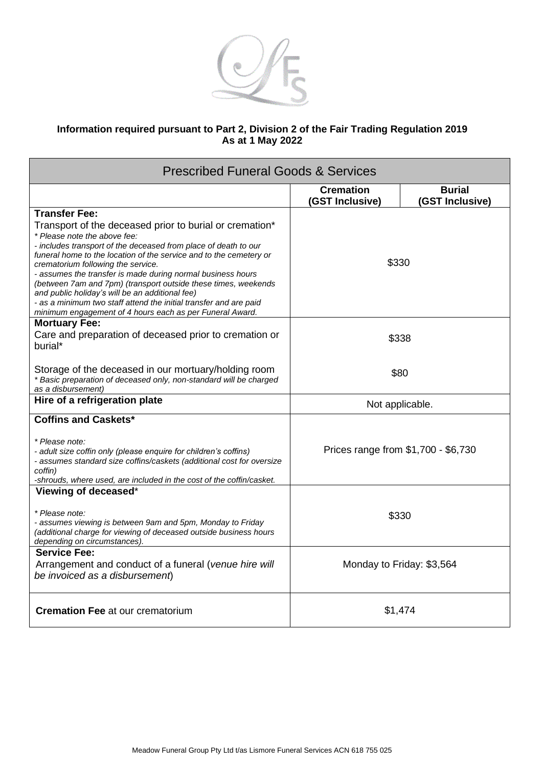

## **Information required pursuant to Part 2, Division 2 of the Fair Trading Regulation 2019 As at 1 May 2022**

| <b>Prescribed Funeral Goods &amp; Services</b>                                                                                                                                                                                                                                                                                                                                                                                                                                                                                                                                              |                                     |                                  |  |
|---------------------------------------------------------------------------------------------------------------------------------------------------------------------------------------------------------------------------------------------------------------------------------------------------------------------------------------------------------------------------------------------------------------------------------------------------------------------------------------------------------------------------------------------------------------------------------------------|-------------------------------------|----------------------------------|--|
|                                                                                                                                                                                                                                                                                                                                                                                                                                                                                                                                                                                             | <b>Cremation</b><br>(GST Inclusive) | <b>Burial</b><br>(GST Inclusive) |  |
| <b>Transfer Fee:</b>                                                                                                                                                                                                                                                                                                                                                                                                                                                                                                                                                                        |                                     |                                  |  |
| Transport of the deceased prior to burial or cremation*<br>* Please note the above fee:<br>- includes transport of the deceased from place of death to our<br>funeral home to the location of the service and to the cemetery or<br>crematorium following the service.<br>- assumes the transfer is made during normal business hours<br>(between 7am and 7pm) (transport outside these times, weekends<br>and public holiday's will be an additional fee)<br>- as a minimum two staff attend the initial transfer and are paid<br>minimum engagement of 4 hours each as per Funeral Award. | \$330                               |                                  |  |
| <b>Mortuary Fee:</b><br>Care and preparation of deceased prior to cremation or<br>burial*                                                                                                                                                                                                                                                                                                                                                                                                                                                                                                   | \$338                               |                                  |  |
| Storage of the deceased in our mortuary/holding room<br>* Basic preparation of deceased only, non-standard will be charged<br>as a disbursement)                                                                                                                                                                                                                                                                                                                                                                                                                                            | \$80                                |                                  |  |
| Hire of a refrigeration plate                                                                                                                                                                                                                                                                                                                                                                                                                                                                                                                                                               | Not applicable.                     |                                  |  |
| <b>Coffins and Caskets*</b>                                                                                                                                                                                                                                                                                                                                                                                                                                                                                                                                                                 |                                     |                                  |  |
| * Please note:<br>- adult size coffin only (please enquire for children's coffins)<br>- assumes standard size coffins/caskets (additional cost for oversize<br>coffin)<br>-shrouds, where used, are included in the cost of the coffin/casket.                                                                                                                                                                                                                                                                                                                                              | Prices range from \$1,700 - \$6,730 |                                  |  |
| Viewing of deceased*                                                                                                                                                                                                                                                                                                                                                                                                                                                                                                                                                                        |                                     |                                  |  |
| * Please note:<br>- assumes viewing is between 9am and 5pm, Monday to Friday<br>(additional charge for viewing of deceased outside business hours<br>depending on circumstances).                                                                                                                                                                                                                                                                                                                                                                                                           | \$330                               |                                  |  |
| <b>Service Fee:</b><br>Arrangement and conduct of a funeral (venue hire will<br>be invoiced as a disbursement)                                                                                                                                                                                                                                                                                                                                                                                                                                                                              | Monday to Friday: \$3,564           |                                  |  |
| <b>Cremation Fee at our crematorium</b>                                                                                                                                                                                                                                                                                                                                                                                                                                                                                                                                                     | \$1,474                             |                                  |  |